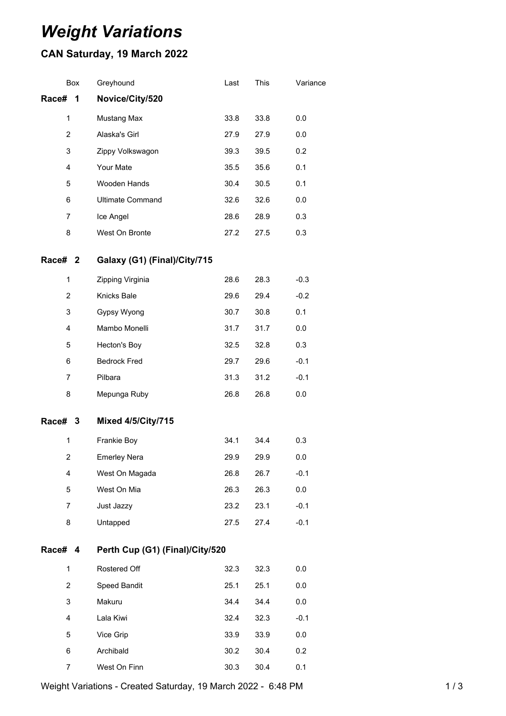## *Weight Variations*

## **CAN Saturday, 19 March 2022**

| Box            | Greyhound                       | Last | This | Variance |  |  |
|----------------|---------------------------------|------|------|----------|--|--|
| Race#<br>1     | Novice/City/520                 |      |      |          |  |  |
| $\mathbf 1$    | Mustang Max                     | 33.8 | 33.8 | 0.0      |  |  |
| 2              | Alaska's Girl                   | 27.9 | 27.9 | 0.0      |  |  |
| 3              | Zippy Volkswagon                | 39.3 | 39.5 | 0.2      |  |  |
| 4              | Your Mate                       | 35.5 | 35.6 | 0.1      |  |  |
| 5              | Wooden Hands                    | 30.4 | 30.5 | 0.1      |  |  |
| 6              | <b>Ultimate Command</b>         | 32.6 | 32.6 | 0.0      |  |  |
| 7              | Ice Angel                       | 28.6 | 28.9 | 0.3      |  |  |
| 8              | West On Bronte                  | 27.2 | 27.5 | 0.3      |  |  |
| Race# 2        | Galaxy (G1) (Final)/City/715    |      |      |          |  |  |
| 1              | Zipping Virginia                | 28.6 | 28.3 | $-0.3$   |  |  |
| $\overline{2}$ | Knicks Bale                     | 29.6 | 29.4 | $-0.2$   |  |  |
| 3              | Gypsy Wyong                     | 30.7 | 30.8 | 0.1      |  |  |
| $\overline{4}$ | Mambo Monelli                   | 31.7 | 31.7 | 0.0      |  |  |
| 5              | Hecton's Boy                    | 32.5 | 32.8 | 0.3      |  |  |
| 6              | <b>Bedrock Fred</b>             | 29.7 | 29.6 | $-0.1$   |  |  |
| $\overline{7}$ | Pilbara                         | 31.3 | 31.2 | $-0.1$   |  |  |
| 8              | Mepunga Ruby                    | 26.8 | 26.8 | 0.0      |  |  |
| Race# 3        | <b>Mixed 4/5/City/715</b>       |      |      |          |  |  |
| 1              | Frankie Boy                     | 34.1 | 34.4 | 0.3      |  |  |
| $\overline{2}$ | <b>Emerley Nera</b>             | 29.9 | 29.9 | 0.0      |  |  |
| 4              | West On Magada                  | 26.8 | 26.7 | $-0.1$   |  |  |
| 5              | West On Mia                     | 26.3 | 26.3 | 0.0      |  |  |
| $\overline{7}$ | Just Jazzy                      | 23.2 | 23.1 | $-0.1$   |  |  |
| 8              | Untapped                        | 27.5 | 27.4 | $-0.1$   |  |  |
| Race# 4        | Perth Cup (G1) (Final)/City/520 |      |      |          |  |  |
| $\mathbf{1}$   | Rostered Off                    | 32.3 | 32.3 | 0.0      |  |  |
| 2              | Speed Bandit                    | 25.1 | 25.1 | 0.0      |  |  |
| 3              | Makuru                          | 34.4 | 34.4 | 0.0      |  |  |
| 4              | Lala Kiwi                       | 32.4 | 32.3 | $-0.1$   |  |  |
| 5              | Vice Grip                       | 33.9 | 33.9 | 0.0      |  |  |
| 6              | Archibald                       | 30.2 | 30.4 | 0.2      |  |  |
| 7              | West On Finn                    | 30.3 | 30.4 | 0.1      |  |  |

Weight Variations - Created Saturday, 19 March 2022 - 6:48 PM 1 / 3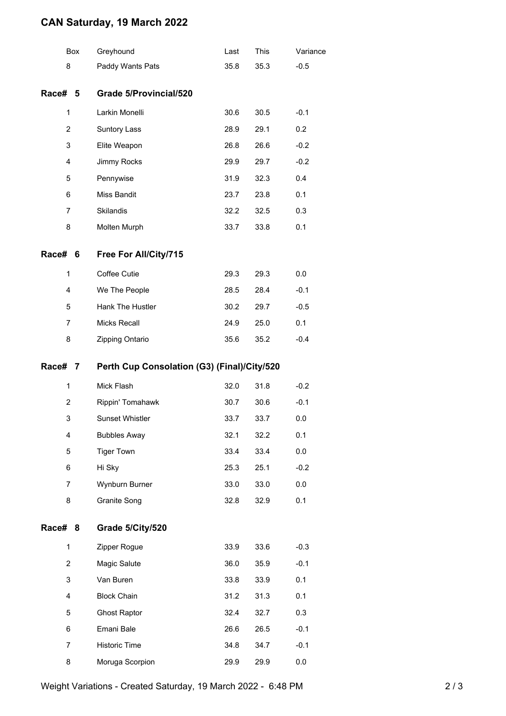## **CAN Saturday, 19 March 2022**

|                | Box | Greyhound                                   | Last | This | Variance |
|----------------|-----|---------------------------------------------|------|------|----------|
| 8              |     | Paddy Wants Pats                            | 35.8 | 35.3 | $-0.5$   |
| Race#          | 5   | Grade 5/Provincial/520                      |      |      |          |
| $\mathbf{1}$   |     | Larkin Monelli                              | 30.6 | 30.5 | $-0.1$   |
| $\overline{2}$ |     | Suntory Lass                                | 28.9 | 29.1 | 0.2      |
| 3              |     | Elite Weapon                                | 26.8 | 26.6 | $-0.2$   |
| 4              |     | Jimmy Rocks                                 | 29.9 | 29.7 | $-0.2$   |
| 5              |     | Pennywise                                   | 31.9 | 32.3 | 0.4      |
| 6              |     | Miss Bandit                                 | 23.7 | 23.8 | 0.1      |
| $\overline{7}$ |     | <b>Skilandis</b>                            | 32.2 | 32.5 | 0.3      |
| 8              |     | Molten Murph                                | 33.7 | 33.8 | 0.1      |
| Race#          | - 6 | Free For All/City/715                       |      |      |          |
| $\mathbf{1}$   |     | Coffee Cutie                                | 29.3 | 29.3 | 0.0      |
| 4              |     | We The People                               | 28.5 | 28.4 | $-0.1$   |
| 5              |     | Hank The Hustler                            | 30.2 | 29.7 | $-0.5$   |
| $\overline{7}$ |     | <b>Micks Recall</b>                         | 24.9 | 25.0 | 0.1      |
| 8              |     | Zipping Ontario                             | 35.6 | 35.2 | $-0.4$   |
| Race# 7        |     | Perth Cup Consolation (G3) (Final)/City/520 |      |      |          |
| 1              |     | Mick Flash                                  | 32.0 | 31.8 | $-0.2$   |
| 2              |     | Rippin' Tomahawk                            | 30.7 | 30.6 | $-0.1$   |
| 3              |     | <b>Sunset Whistler</b>                      | 33.7 | 33.7 | 0.0      |
| 4              |     | <b>Bubbles Away</b>                         | 32.1 | 32.2 | 0.1      |
| 5              |     | <b>Tiger Town</b>                           | 33.4 | 33.4 | 0.0      |
| 6              |     | Hi Sky                                      | 25.3 | 25.1 | $-0.2$   |
| 7              |     | Wynburn Burner                              | 33.0 | 33.0 | 0.0      |
| 8              |     | Granite Song                                | 32.8 | 32.9 | 0.1      |
| Race#          | 8   | Grade 5/City/520                            |      |      |          |
| $\mathbf{1}$   |     | Zipper Rogue                                | 33.9 | 33.6 | $-0.3$   |
| $\overline{2}$ |     | Magic Salute                                | 36.0 | 35.9 | $-0.1$   |
| 3              |     | Van Buren                                   | 33.8 | 33.9 | 0.1      |
| 4              |     | <b>Block Chain</b>                          | 31.2 | 31.3 | 0.1      |
| 5              |     | <b>Ghost Raptor</b>                         | 32.4 | 32.7 | 0.3      |
| 6              |     | Emani Bale                                  | 26.6 | 26.5 | $-0.1$   |
|                |     |                                             |      |      |          |
| 7              |     | Historic Time                               | 34.8 | 34.7 | $-0.1$   |